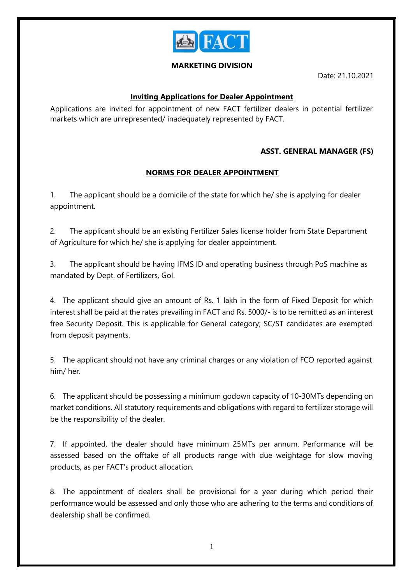

## **MARKETING DIVISION**

Date: 21.10.2021

## **Inviting Applications for Dealer Appointment**

Applications are invited for appointment of new FACT fertilizer dealers in potential fertilizer markets which are unrepresented/ inadequately represented by FACT.

## **ASST. GENERAL MANAGER (FS)**

## **NORMS FOR DEALER APPOINTMENT**

1. The applicant should be a domicile of the state for which he/ she is applying for dealer appointment.

2. The applicant should be an existing Fertilizer Sales license holder from State Department of Agriculture for which he/ she is applying for dealer appointment.

3. The applicant should be having IFMS ID and operating business through PoS machine as mandated by Dept. of Fertilizers, GoI.

4. The applicant should give an amount of Rs. 1 lakh in the form of Fixed Deposit for which interest shall be paid at the rates prevailing in FACT and Rs. 5000/- is to be remitted as an interest free Security Deposit. This is applicable for General category; SC/ST candidates are exempted from deposit payments.

5. The applicant should not have any criminal charges or any violation of FCO reported against him/ her.

6. The applicant should be possessing a minimum godown capacity of 10-30MTs depending on market conditions. All statutory requirements and obligations with regard to fertilizer storage will be the responsibility of the dealer.

7. If appointed, the dealer should have minimum 25MTs per annum. Performance will be assessed based on the offtake of all products range with due weightage for slow moving products, as per FACT's product allocation.

8. The appointment of dealers shall be provisional for a year during which period their performance would be assessed and only those who are adhering to the terms and conditions of dealership shall be confirmed.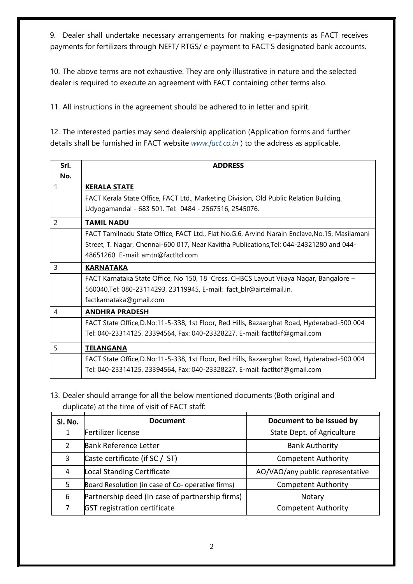9. Dealer shall undertake necessary arrangements for making e-payments as FACT receives payments for fertilizers through NEFT/ RTGS/ e-payment to FACT'S designated bank accounts.

10. The above terms are not exhaustive. They are only illustrative in nature and the selected dealer is required to execute an agreement with FACT containing other terms also.

11. All instructions in the agreement should be adhered to in letter and spirit.

12. The interested parties may send dealership application (Application forms and further details shall be furnished in FACT website *[www.fact.co.in](http://www.fact.co.in/)* ) to the address as applicable.

| Srl. | <b>ADDRESS</b>                                                                                |  |
|------|-----------------------------------------------------------------------------------------------|--|
| No.  |                                                                                               |  |
| 1    | <b>KERALA STATE</b>                                                                           |  |
|      | FACT Kerala State Office, FACT Ltd., Marketing Division, Old Public Relation Building,        |  |
|      | Udyogamandal - 683 501. Tel: 0484 - 2567516, 2545076.                                         |  |
| 2    | <b>TAMIL NADU</b>                                                                             |  |
|      | FACT Tamilnadu State Office, FACT Ltd., Flat No.G.6, Arvind Narain Enclave, No.15, Masilamani |  |
|      | Street, T. Nagar, Chennai-600 017, Near Kavitha Publications, Tel: 044-24321280 and 044-      |  |
|      | 48651260 E-mail: amtn@factltd.com                                                             |  |
| 3    | <b>KARNATAKA</b>                                                                              |  |
|      | FACT Karnataka State Office, No 150, 18 Cross, CHBCS Layout Vijaya Nagar, Bangalore -         |  |
|      | 560040, Tel: 080-23114293, 23119945, E-mail: fact_blr@airtelmail.in,                          |  |
|      | factkarnataka@gmail.com                                                                       |  |
| 4    | <b>ANDHRA PRADESH</b>                                                                         |  |
|      | FACT State Office, D.No:11-5-338, 1st Floor, Red Hills, Bazaarghat Road, Hyderabad-500 004    |  |
|      | Tel: 040-23314125, 23394564, Fax: 040-23328227, E-mail: factItdf@gmail.com                    |  |
| 5    | <b>TELANGANA</b>                                                                              |  |
|      | FACT State Office, D.No:11-5-338, 1st Floor, Red Hills, Bazaarghat Road, Hyderabad-500 004    |  |
|      | Tel: 040-23314125, 23394564, Fax: 040-23328227, E-mail: factItdf@gmail.com                    |  |

13. Dealer should arrange for all the below mentioned documents (Both original and duplicate) at the time of visit of FACT staff:

| Sl. No.       | <b>Document</b>                                   | Document to be issued by         |
|---------------|---------------------------------------------------|----------------------------------|
|               | Fertilizer license                                | State Dept. of Agriculture       |
| $\mathcal{P}$ | <b>Bank Reference Letter</b>                      | <b>Bank Authority</b>            |
| 3             | Caste certificate (if SC / ST)                    | <b>Competent Authority</b>       |
| 4             | Local Standing Certificate                        | AO/VAO/any public representative |
| 5             | Board Resolution (in case of Co- operative firms) | <b>Competent Authority</b>       |
| 6             | Partnership deed (In case of partnership firms)   | Notary                           |
|               | <b>GST registration certificate</b>               | <b>Competent Authority</b>       |